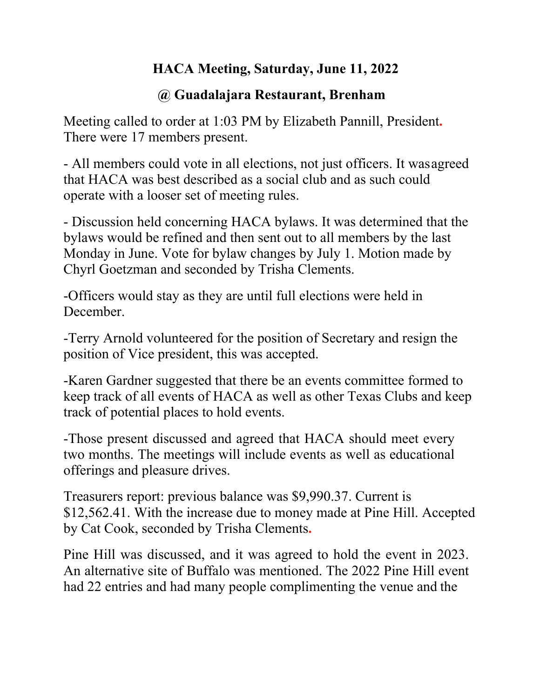## **HACA Meeting, Saturday, June 11, 2022**

## **@ Guadalajara Restaurant, Brenham**

Meeting called to order at 1:03 PM by Elizabeth Pannill, President**.**  There were 17 members present.

- All members could vote in all elections, not just officers. It was agreed that HACA was best described as a social club and as such could operate with a looser set of meeting rules.

- Discussion held concerning HACA bylaws. It was determined that the bylaws would be refined and then sent out to all members by the last Monday in June. Vote for bylaw changes by July 1. Motion made by Chyrl Goetzman and seconded by Trisha Clements.

-Officers would stay as they are until full elections were held in December.

-Terry Arnold volunteered for the position of Secretary and resign the position of Vice president, this was accepted.

-Karen Gardner suggested that there be an events committee formed to keep track of all events of HACA as well as other Texas Clubs and keep track of potential places to hold events.

-Those present discussed and agreed that HACA should meet every two months. The meetings will include events as well as educational offerings and pleasure drives.

Treasurers report: previous balance was \$9,990.37. Current is \$12,562.41. With the increase due to money made at Pine Hill. Accepted by Cat Cook, seconded by Trisha Clements**.**

Pine Hill was discussed, and it was agreed to hold the event in 2023. An alternative site of Buffalo was mentioned. The 2022 Pine Hill event had 22 entries and had many people complimenting the venue and the